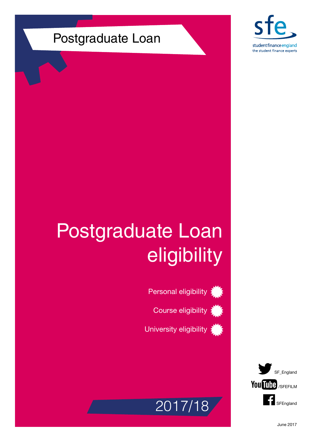### Postgraduate Loan



# Postgraduate Loan eligibility





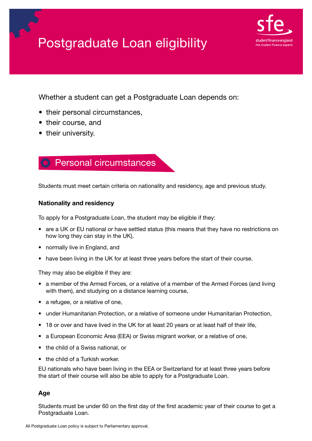



Whether a student can get a Postgraduate Loan depends on:

- their personal circumstances,
- their course, and
- their university.



Students must meet certain criteria on nationality and residency, age and previous study.

#### Nationality and residency

To apply for a Postgraduate Loan, the student may be eligible if they:

- are a UK or EU national or have settled status (this means that they have no restrictions on how long they can stay in the UK),
- normally live in England, and
- have been living in the UK for at least three years before the start of their course.

They may also be eligible if they are:

- a member of the Armed Forces, or a relative of a member of the Armed Forces (and living with them), and studying on a distance learning course,
- a refugee, or a relative of one,
- under Humanitarian Protection, or a relative of someone under Humanitarian Protection,
- 18 or over and have lived in the UK for at least 20 years or at least half of their life,
- a European Economic Area (EEA) or Swiss migrant worker, or a relative of one,
- the child of a Swiss national, or
- the child of a Turkish worker.

EU nationals who have been living in the EEA or Switzerland for at least three years before the start of their course will also be able to apply for a Postgraduate Loan.

#### Age

Students must be under 60 on the first day of the first academic year of their course to get a Postgraduate Loan.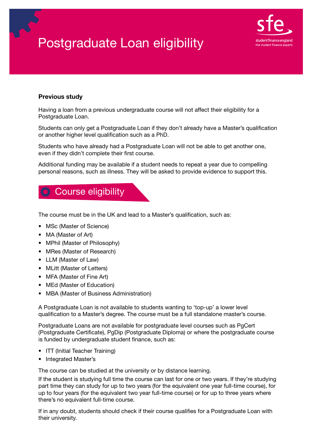### Postgraduate Loan eligibility



#### Previous study

Having a loan from a previous undergraduate course will not affect their eligibility for a Postgraduate Loan.

Students can only get a Postgraduate Loan if they don't already have a Master's qualification or another higher level qualification such as a PhD.

Students who have already had a Postgraduate Loan will not be able to get another one, even if they didn't complete their first course.

Additional funding may be available if a student needs to repeat a year due to compelling personal reasons, such as illness. They will be asked to provide evidence to support this.

### Course eligibility

The course must be in the UK and lead to a Master's qualification, such as:

- MSc (Master of Science)
- MA (Master of Art)
- MPhil (Master of Philosophy)
- MRes (Master of Research)
- LLM (Master of Law)
- MLitt (Master of Letters)
- MFA (Master of Fine Art)
- MEd (Master of Education)
- MBA (Master of Business Administration)

A Postgraduate Loan is not available to students wanting to 'top-up' a lower level qualification to a Master's degree. The course must be a full standalone master's course.

Postgraduate Loans are not available for postgraduate level courses such as PgCert (Postgraduate Certificate), PgDip (Postgraduate Diploma) or where the postgraduate course is funded by undergraduate student finance, such as:

- ITT (Initial Teacher Training)
- Integrated Master's

The course can be studied at the university or by distance learning.

If the student is studying full time the course can last for one or two years. If they're studying part time they can study for up to two years (for the equivalent one year full-time course), for up to four years (for the equivalent two year full-time course) or for up to three years where there's no equivalent full-time course.

If in any doubt, students should check if their course qualifies for a Postgraduate Loan with their university.